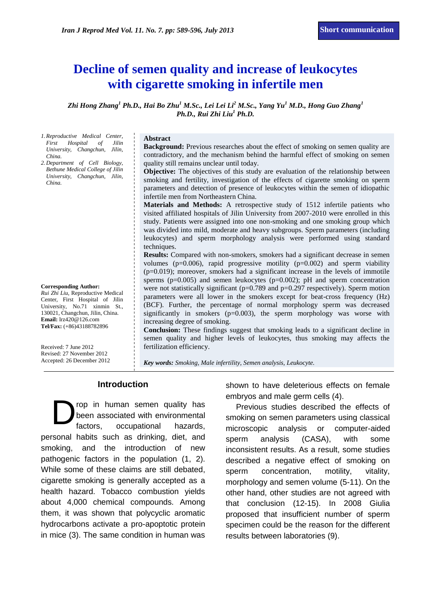# **Decline of semen quality and increase of leukocytes with cigarette smoking in infertile men**

*Zhi Hong Zhang<sup>1</sup> Ph.D., Hai Bo Zhu<sup>1</sup> M.Sc., Lei Lei Li<sup>2</sup> M.Sc., Yang Yu<sup>1</sup> M.D., Hong Guo Zhang<sup>1</sup> Ph.D., Rui Zhi Liu<sup>1</sup> Ph.D.* 

*1.Reproductive Medical Center, First Hospital of Jilin University, Changchun, Jilin, China.*

*2.Department of Cell Biology, Bethune Medical College of Jilin University, Changchun, Jilin, China.*

#### **Corresponding Author:**

*Rui Zhi Liu,* Reproductive Medical Center, First Hospital of Jilin University, No.71 xinmin St., 130021, Changchun, Jilin, China. **Email:** [lrz420@126.com](mailto:lrz420@126.com) **Tel/Fax:** (+86)43188782896

Received: 7 June 2012 Revised: 27 November 2012 Accepted: 26 December 2012

#### **Abstract**

**Background:** Previous researches about the effect of smoking on semen quality are contradictory, and the mechanism behind the harmful effect of smoking on semen quality still remains unclear until today.

**Objective:** The objectives of this study are evaluation of the relationship between smoking and fertility, investigation of the effects of cigarette smoking on sperm parameters and detection of presence of leukocytes within the semen of idiopathic infertile men from Northeastern China.

**Materials and Methods:** A [retrospective study](query:retrospective%20analysis) of 1512 infertile patients who visited affiliated hospitals of Jilin University from 2007-2010 were enrolled in this study. Patients were assigned into one non-smoking and one smoking group which was divided into mild, moderate and heavy subgroups. Sperm parameters (including leukocytes) and sperm morphology analysis were performed using standard techniques.

**Results:** Compared with non-smokers, smokers had a significant decrease in semen volumes ( $p=0.006$ ), rapid progressive motility ( $p=0.002$ ) and sperm viability  $(p=0.019)$ ; moreover, smokers had a significant increase in the levels of immotile sperms (p=0.005) and semen leukocytes (p=0.002); pH and sperm concentration were not statistically significant ( $p=0.789$  and  $p=0.297$  respectively). Sperm motion parameters were all lower in the smokers except for beat-cross frequency (Hz) (BCF). Further, the percentage of normal morphology sperm was decreased significantly in smokers  $(p=0.003)$ , the sperm morphology was worse with increasing degree of smoking.

**Conclusion:** These findings suggest that smoking leads to a significant decline in semen quality and higher levels of leukocytes, thus smoking may affects the fertilization efficiency.

*Key words: Smoking, Male infertility, Semen analysis, Leukocyte.*

#### **Introduction**

rop in human semen quality has been associated with environmental factors, occupational hazards, personal habits such as drinking, diet, and smoking, and the introduction of new pathogenic factors in the population (1, 2). While some of these claims are still debated, cigarette smoking is generally accepted as a health hazard. Tobacco combustion yields about 4,000 chemical compounds. Among them, it was shown that polycyclic aromatic hydrocarbons activate a pro-apoptotic protein in mice (3). The same condition in human was D

shown to have deleterious effects on female embryos and male germ cells (4).

Previous studies described the effects of smoking on semen parameters using classical microscopic analysis or computer-aided sperm analysis (CASA), with some inconsistent results. As a result, some studies described a negative effect of smoking on sperm concentration, motility, vitality, morphology and semen volume (5-11). On the other hand, other studies are not agreed with that conclusion (12-15). In 2008 Giulia proposed that insufficient number of sperm specimen could be the reason for the different results between laboratories (9).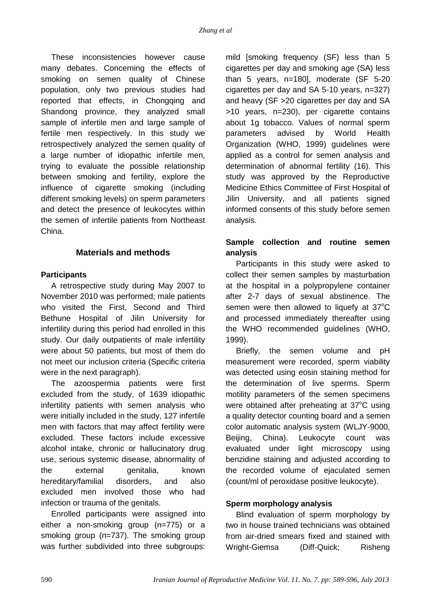These inconsistencies however cause many debates. Concerning the effects of smoking on semen quality of Chinese population, only two previous studies had reported that effects, in Chongqing and Shandong province, they analyzed small sample of infertile men and large sample of fertile men respectively. In this study we retrospectively analyzed the semen quality of a large number of idiopathic infertile men, trying to evaluate the possible relationship between smoking and fertility, explore the influence of cigarette smoking (including different smoking levels) on sperm parameters and detect the presence of leukocytes within the semen of infertile patients from Northeast China.

#### **Materials and methods**

#### **Participants**

A retrospective study during May 2007 to November 2010 was performed; male patients who visited the First, Second and Third Bethune Hospital of Jilin University for infertility during this period had enrolled in this study. Our daily outpatients of male infertility were about 50 patients, but most of them do not meet our inclusion criteria (Specific criteria were in the next paragraph).

The azoospermia patients were first excluded from the study, of 1639 idiopathic infertility patients with semen analysis who were initially included in the study, 127 infertile men with factors that may affect fertility were excluded. These factors include excessive alcohol intake, chronic or hallucinatory drug use, serious systemic disease, abnormality of the external genitalia, known hereditary/familial disorders, and also excluded men involved those who had infection or trauma of the genitals.

Enrolled participants were assigned into either a non-smoking group (n=775) or a smoking group (n=737). The smoking group was further subdivided into three subgroups: mild [smoking frequency (SF) less than 5 cigarettes per day and smoking age (SA) less than 5 years, n=180], moderate (SF 5-20 cigarettes per day and SA 5-10 years, n=327) and heavy (SF >20 cigarettes per day and SA >10 years, n=230), per cigarette contains about 1g tobacco. Values of normal sperm parameters advised by World Health Organization (WHO, 1999) guidelines were applied as a control for semen analysis and determination of abnormal fertility (16). This study was approved by the Reproductive Medicine Ethics Committee of First Hospital of Jilin University, and all patients signed informed consents of this study before semen analysis.

# **Sample collection and routine semen analysis**

Participants in this study were asked to collect their semen samples by masturbation at the hospital in a polypropylene container after 2-7 days of sexual abstinence. The semen were then allowed to liquefy at  $37^{\circ}$ C and processed immediately thereafter using the WHO recommended guidelines (WHO, 1999).

Briefly, the semen volume and pH measurement were recorded, sperm viability was detected using eosin staining method for the determination of live sperms. Sperm motility parameters of the semen specimens were obtained after preheating at  $37^{\circ}$ C using a quality detector counting board and a semen color automatic analysis system (WLJY-9000, Beijing, China). Leukocyte count was evaluated under light microscopy using benzidine staining and adjusted according to the recorded volume of ejaculated semen (count/ml of peroxidase positive leukocyte).

## **Sperm morphology analysis**

Blind evaluation of sperm morphology by two in house trained technicians was obtained from air-dried smears fixed and stained with Wright-Giemsa (Diff-Quick; Risheng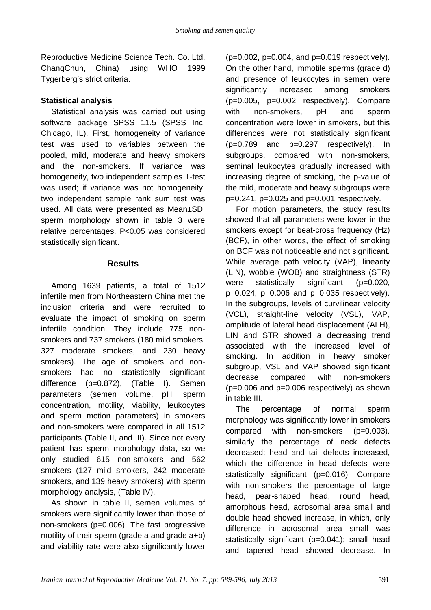Reproductive Medicine Science Tech. Co. Ltd, ChangChun, China) using WHO 1999 Tygerberg's strict criteria.

## **Statistical analysis**

Statistical analysis was carried out using software package SPSS 11.5 (SPSS Inc, Chicago, IL). First, homogeneity of variance test was used to variables between the pooled, mild, moderate and heavy smokers and the non-smokers. If variance was homogeneity, two independent samples T-test was used; if variance was not homogeneity, two independent sample rank sum test was used. All data were presented as Mean±SD, sperm morphology shown in table 3 were relative percentages. P<0.05 was considered statistically significant.

#### **Results**

Among 1639 patients, a total of 1512 infertile men from Northeastern China met the inclusion criteria and were recruited to evaluate the impact of smoking on sperm infertile condition. They include 775 nonsmokers and 737 smokers (180 mild smokers, 327 moderate smokers, and 230 heavy smokers). The age of smokers and nonsmokers had no statistically significant difference (p=0.872), (Table I). Semen parameters (semen volume, pH, sperm concentration, motility, viability, leukocytes and sperm motion parameters) in smokers and non-smokers were compared in all 1512 participants (Table II, and III). Since not every patient has sperm morphology data, so we only studied 615 non-smokers and 562 smokers (127 mild smokers, 242 moderate smokers, and 139 heavy smokers) with sperm morphology analysis, (Table IV).

As shown in table II, semen volumes of smokers were significantly lower than those of non-smokers (p=0.006). The fast progressive motility of their sperm (grade a and grade a+b) and viability rate were also significantly lower (p=0.002, p=0.004, and p=0.019 respectively). On the other hand, immotile sperms (grade d) and presence of leukocytes in semen were significantly increased among smokers (p=0.005, p=0.002 respectively). Compare with non-smokers, pH and sperm concentration were lower in smokers, but this differences were not statistically significant (p=0.789 and p=0.297 respectively). In subgroups, compared with non-smokers, seminal leukocytes gradually increased with increasing degree of smoking, the p-value of the mild, moderate and heavy subgroups were p=0.241, p=0.025 and p=0.001 respectively.

For motion parameters, the study results showed that all parameters were lower in the smokers except for beat-cross frequency (Hz) (BCF), in other words, the effect of smoking on BCF was not noticeable and not significant. While average path velocity (VAP), linearity (LIN), wobble (WOB) and straightness (STR) were statistically significant (p=0.020,  $p=0.024$ ,  $p=0.006$  and  $p=0.035$  respectively). In the subgroups, levels of curvilinear velocity (VCL), straight-line velocity (VSL), VAP, amplitude of lateral head displacement (ALH), LIN and STR showed a decreasing trend associated with the increased level of smoking. In addition in heavy smoker subgroup, VSL and VAP showed significant decrease compared with non-smokers (p=0.006 and p=0.006 respectively) as shown in table III.

The percentage of normal sperm morphology was significantly lower in smokers compared with non-smokers (p=0.003). similarly the percentage of neck defects decreased; head and tail defects increased, which the difference in head defects were statistically significant (p=0.016). Compare with non-smokers the percentage of large head, pear-shaped head, round head, amorphous head, acrosomal area small and double head showed increase, in which, only difference in acrosomal area small was statistically significant (p=0.041); small head and tapered head showed decrease. In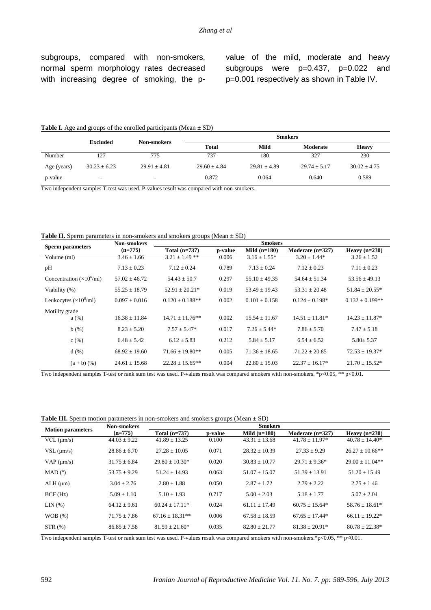subgroups, compared with non-smokers, normal sperm morphology rates decreased with increasing degree of smoking, the pvalue of the mild, moderate and heavy subgroups were p=0.437, p=0.022 and p=0.001 respectively as shown in Table IV.

#### **Table I.** Age and groups of the enrolled participants (Mean  $\pm$  SD)

|             | Excluded         | <b>Non-smokers</b> | <b>Smokers</b>   |                  |                  |                  |  |
|-------------|------------------|--------------------|------------------|------------------|------------------|------------------|--|
|             |                  |                    | <b>Total</b>     | Mild             | Moderate         | <b>Heavy</b>     |  |
| Number      | 127              | 775                | 737              | 180              | 327              | 230              |  |
| Age (years) | $30.23 \pm 6.23$ | $29.91 \pm 4.81$   | $29.60 \pm 4.84$ | $29.81 \pm 4.89$ | $29.74 \pm 5.17$ | $30.02 \pm 4.75$ |  |
| p-value     | ۰                | $\blacksquare$     | 0.872            | 0.064            | 0.640            | 0.589            |  |

Two independent samples T-test was used. P-values result was compared with non-smokers.

**Table II.** Sperm parameters in non-smokers and smokers groups (Mean  $\pm$  SD)

|                                         | Non-smokers       | <b>Smokers</b>       |         |                   |                     |                      |  |
|-----------------------------------------|-------------------|----------------------|---------|-------------------|---------------------|----------------------|--|
| <b>Sperm parameters</b>                 | $(n=775)$         | Total (n=737)        | p-value | Mild $(n=180)$    | Moderate $(n=327)$  | Heavy $(n=230)$      |  |
| Volume (ml)                             | $3.46 \pm 1.66$   | $3.21 \pm 1.49$ **   | 0.006   | $3.16 \pm 1.55^*$ | $3.20 \pm 1.44*$    | $3.26 \pm 1.52$      |  |
| pH                                      | $7.13 \pm 0.23$   | $7.12 + 0.24$        | 0.789   | $7.13 + 0.24$     | $7.12 \pm 0.23$     | $7.11 \pm 0.23$      |  |
| Concentration $(\times 10^6/\text{ml})$ | $57.02 + 46.72$   | $54.43 + 50.7$       | 0.297   | $55.10 \pm 49.35$ | $54.64 \pm 51.34$   | $53.56 + 49.13$      |  |
| Viability (%)                           | $55.25 \pm 18.79$ | $52.91 + 20.21*$     | 0.019   | $53.49 + 19.43$   | $53.31 + 20.48$     | $51.84 \pm 20.55*$   |  |
| Leukocytes $(\times 10^6$ /ml)          | $0.097 \pm 0.016$ | $0.120 + 0.188**$    | 0.002   | $0.101 + 0.158$   | $0.124 + 0.198*$    | $0.132 \pm 0.199$ ** |  |
| Motility grade                          |                   |                      |         |                   |                     |                      |  |
| a(%)                                    | $16.38 + 11.84$   | $14.71 + 11.76**$    | 0.002   | $15.54 + 11.67$   | $14.51 + 11.81*$    | $14.23 + 11.87*$     |  |
| b(%)                                    | $8.23 \pm 5.20$   | $7.57 \pm 5.47*$     | 0.017   | $7.26 + 5.44*$    | $7.86 \pm 5.70$     | $7.47 \pm 5.18$      |  |
| c(%)                                    | $6.48 \pm 5.42$   | $6.12 \pm 5.83$      | 0.212   | $5.84 \pm 5.17$   | $6.54 + 6.52$       | $5.80 \pm 5.37$      |  |
| d(%)                                    | $68.92 \pm 19.60$ | $71.66 \pm 19.80$ ** | 0.005   | $71.36 + 18.65$   | $71.22 + 20.85$     | $72.53 \pm 19.37*$   |  |
| $(a + b)$ $(\%)$                        | $24.61 \pm 15.68$ | $22.28 \pm 15.65***$ | 0.004   | $22.80 \pm 15.03$ | $22.37 \pm 16.17^*$ | $21.70 \pm 15.52^*$  |  |

Two independent samples T-test or rank sum test was used. P-values result was compared smokers with non-smokers. \*p<0.05, \*\* p<0.01.

**Table III.** Sperm motion parameters in non-smokers and smokers groups (Mean  $\pm$  SD)

| <b>Motion parameters</b> | Non-smokers      | <b>Smokers</b>      |         |                   |                    |                      |  |
|--------------------------|------------------|---------------------|---------|-------------------|--------------------|----------------------|--|
|                          | $(n=775)$        | Total $(n=737)$     | p-value | Mild $(n=180)$    | Moderate $(n=327)$ | Heavy $(n=230)$      |  |
| $VCL$ ( $\mu$ m/s)       | $44.03 \pm 9.22$ | $41.89 \pm 13.25$   | 0.100   | $43.31 \pm 13.68$ | $41.78 \pm 11.97*$ | $40.78 \pm 14.40*$   |  |
| $VSL$ ( $\mu$ m/s)       | $28.86 \pm 6.70$ | $27.28 + 10.05$     | 0.071   | $28.32 \pm 10.39$ | $27.33 \pm 9.29$   | $26.27 \pm 10.66$ ** |  |
| $VAP$ ( $\mu$ m/s)       | $31.75 + 6.84$   | $29.80 + 10.30*$    | 0.020   | $30.83 + 10.77$   | $29.71 + 9.36*$    | $29.00 + 11.04**$    |  |
| MAD (°)                  | $53.75 \pm 9.29$ | $51.24 + 14.93$     | 0.063   | $51.07 + 15.07$   | $51.39 + 13.91$    | $51.20 + 15.49$      |  |
| $ALH$ ( $\mu$ m)         | $3.04 \pm 2.76$  | $2.80 + 1.88$       | 0.050   | $2.87 + 1.72$     | $2.79 \pm 2.22$    | $2.75 + 1.46$        |  |
| BCF(Hz)                  | $5.09 \pm 1.10$  | $5.10 + 1.93$       | 0.717   | $5.00 + 2.03$     | $5.18 + 1.77$      | $5.07 + 2.04$        |  |
| LIN(%)                   | $64.12 + 9.61$   | $60.24 + 17.11*$    | 0.024   | $61.11 + 17.49$   | $60.75 + 15.64*$   | $58.76 + 18.61*$     |  |
| WOB(%)                   | $71.75 \pm 7.86$ | $67.16 \pm 18.31**$ | 0.006   | $67.58 \pm 18.59$ | $67.65 \pm 17.44*$ | $66.11 \pm 19.22*$   |  |
| STR(%)                   | $86.85 \pm 7.58$ | $81.59 + 21.60*$    | 0.035   | $82.80 \pm 21.77$ | $81.38 + 20.91*$   | $80.78 \pm 22.38*$   |  |

Two independent samples T-test or rank sum test was used. P-values result was compared smokers with non-smokers.\*p<0.05, \*\* p<0.01.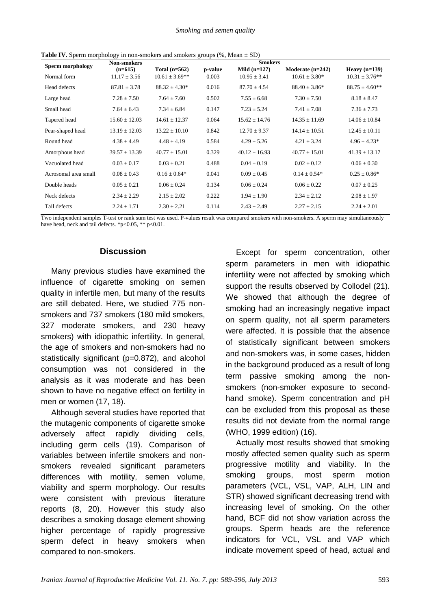| <b>Sperm morphology</b> | <b>Non-smokers</b> | <b>Smokers</b>      |         |                   |                    |                     |  |  |
|-------------------------|--------------------|---------------------|---------|-------------------|--------------------|---------------------|--|--|
|                         | $(n=615)$          | Total $(n=562)$     | p-value | Mild $(n=127)$    | Moderate $(n=242)$ | Heavy $(n=139)$     |  |  |
| Normal form             | $11.17 \pm 3.56$   | $10.61 \pm 3.69$ ** | 0.003   | $10.95 \pm 3.41$  | $10.61 \pm 3.80^*$ | $10.31 \pm 3.76$ ** |  |  |
| Head defects            | $87.81 \pm 3.78$   | $88.32 \pm 4.30*$   | 0.016   | $87.70 \pm 4.54$  | $88.40 \pm 3.86^*$ | $88.75 \pm 4.60**$  |  |  |
| Large head              | $7.28 \pm 7.50$    | $7.64 \pm 7.60$     | 0.502   | $7.55 \pm 6.68$   | $7.30 \pm 7.50$    | $8.18 \pm 8.47$     |  |  |
| Small head              | $7.64 \pm 6.43$    | $7.34 \pm 6.84$     | 0.147   | $7.23 \pm 5.24$   | $7.41 \pm 7.08$    | $7.36 \pm 7.73$     |  |  |
| Tapered head            | $15.60 \pm 12.03$  | $14.61 \pm 12.37$   | 0.064   | $15.62 \pm 14.76$ | $14.35 \pm 11.69$  | $14.06 \pm 10.84$   |  |  |
| Pear-shaped head        | $13.19 \pm 12.03$  | $13.22 \pm 10.10$   | 0.842   | $12.70 \pm 9.37$  | $14.14 \pm 10.51$  | $12.45 \pm 10.11$   |  |  |
| Round head              | $4.38 \pm 4.49$    | $4.48 \pm 4.19$     | 0.584   | $4.29 \pm 5.26$   | $4.21 \pm 3.24$    | $4.96 \pm 4.23*$    |  |  |
| Amorphous head          | $39.57 \pm 13.39$  | $40.77 \pm 15.01$   | 0.329   | $40.12 \pm 16.93$ | $40.77 \pm 15.01$  | $41.39 \pm 13.17$   |  |  |
| Vacuolated head         | $0.03 \pm 0.17$    | $0.03 \pm 0.21$     | 0.488   | $0.04 \pm 0.19$   | $0.02 \pm 0.12$    | $0.06 \pm 0.30$     |  |  |
| Acrosomal area small    | $0.08 \pm 0.43$    | $0.16 + 0.64*$      | 0.041   | $0.09 \pm 0.45$   | $0.14 + 0.54*$     | $0.25 \pm 0.86^*$   |  |  |
| Double heads            | $0.05 \pm 0.21$    | $0.06 \pm 0.24$     | 0.134   | $0.06 \pm 0.24$   | $0.06 \pm 0.22$    | $0.07 \pm 0.25$     |  |  |
| Neck defects            | $2.34 \pm 2.29$    | $2.15 \pm 2.02$     | 0.222   | $1.94 \pm 1.90$   | $2.34 \pm 2.12$    | $2.08 \pm 1.97$     |  |  |
| Tail defects            | $2.24 \pm 1.71$    | $2.30 \pm 2.21$     | 0.114   | $2.43 \pm 2.49$   | $2.27 \pm 2.15$    | $2.24 \pm 2.01$     |  |  |

**Table IV.** Sperm morphology in non-smokers and smokers groups  $(\%$ . Mean  $\pm$  SD)

Two independent samples T-test or rank sum test was used. P-values result was compared smokers with non-smokers. A sperm may simultaneously have head, neck and tail defects. \*p<0.05, \*\* p<0.01.

#### **Discussion**

Many previous studies have examined the influence of cigarette smoking on semen quality in infertile men, but many of the results are still debated. Here, we studied 775 nonsmokers and 737 smokers (180 mild smokers, 327 moderate smokers, and 230 heavy smokers) with idiopathic infertility. In general, the age of smokers and non-smokers had no statistically significant (p=0.872), and alcohol consumption was not considered in the analysis as it was moderate and has been shown to have no negative effect on fertility in men or women (17, 18).

Although several studies have reported that the mutagenic components of cigarette smoke adversely affect rapidly dividing cells, including germ cells (19). Comparison of variables between infertile smokers and nonsmokers revealed significant parameters differences with motility, semen volume, viability and sperm morphology. Our results were consistent with previous literature reports (8, 20). However this study also describes a smoking dosage element showing higher percentage of rapidly progressive sperm defect in heavy smokers when compared to non-smokers.

Except for sperm concentration, other sperm parameters in men with idiopathic infertility were not affected by smoking which support the results observed by Collodel (21). We showed that although the degree of smoking had an increasingly negative impact on sperm quality, not all sperm parameters were affected. It is possible that the absence of statistically significant between smokers and non-smokers was, in some cases, hidden in the background produced as a result of long term passive smoking among the nonsmokers (non-smoker exposure to secondhand smoke). Sperm concentration and pH can be excluded from this proposal as these results did not deviate from the normal range (WHO, 1999 edition) (16).

Actually most results showed that smoking mostly affected semen quality such as sperm progressive motility and viability. In the smoking groups, most sperm motion parameters (VCL, VSL, VAP, ALH, LIN and STR) showed significant decreasing trend with increasing level of smoking. On the other hand, BCF did not show variation across the groups. Sperm heads are the reference indicators for VCL, VSL and VAP which indicate movement speed of head, actual and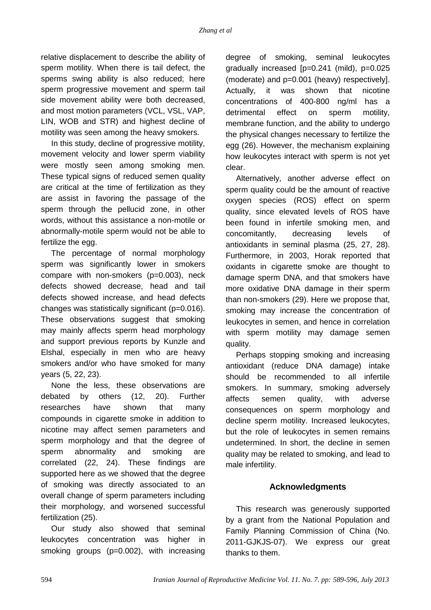relative displacement to describe the ability of sperm motility. When there is tail defect, the sperms swing ability is also reduced; here sperm progressive movement and sperm tail side movement ability were both decreased, and most motion parameters (VCL, VSL, VAP, LIN, WOB and STR) and highest decline of motility was seen among the heavy smokers.

In this study, decline of progressive motility, movement velocity and lower sperm viability were mostly seen among smoking men. These typical signs of reduced semen quality are critical at the time of fertilization as they are assist in favoring the passage of the sperm through the pellucid zone, in other words, without this assistance a non-motile or abnormally-motile sperm would not be able to fertilize the egg.

The percentage of normal morphology sperm was significantly lower in smokers compare with non-smokers (p=0.003), neck defects showed decrease, head and tail defects showed increase, and head defects changes was statistically significant (p=0.016). These observations suggest that smoking may mainly affects sperm head morphology and support previous reports by Kunzle and Elshal, especially in men who are heavy smokers and/or who have smoked for many years (5, 22, 23).

None the less, these observations are debated by others (12, 20). Further researches have shown that many compounds in cigarette smoke in addition to nicotine may affect semen parameters and sperm morphology and that the degree of sperm abnormality and smoking are correlated (22, 24). These findings are supported here as we showed that the degree of smoking was directly associated to an overall change of sperm parameters including their morphology, and worsened successful fertilization (25).

Our study also showed that seminal leukocytes concentration was higher in smoking groups (p=0.002), with increasing degree of smoking, seminal leukocytes gradually increased [p=0.241 (mild), p=0.025 (moderate) and p=0.001 (heavy) respectively]. Actually, it was shown that nicotine concentrations of 400-800 ng/ml has a detrimental effect on sperm motility, membrane function, and the ability to undergo the physical changes necessary to fertilize the egg (26). However, the mechanism explaining how leukocytes interact with sperm is not yet clear.

Alternatively, another adverse effect on sperm quality could be the amount of reactive oxygen species (ROS) effect on sperm quality, since elevated levels of ROS have been found in infertile smoking men, and concomitantly, decreasing levels of antioxidants in seminal plasma (25, 27, 28). Furthermore, in 2003, Horak reported that oxidants in cigarette smoke are thought to damage sperm DNA, and that smokers have more oxidative DNA damage in their sperm than non-smokers (29). Here we propose that, smoking may increase the concentration of leukocytes in semen, and hence in correlation with sperm motility may damage semen quality.

Perhaps stopping smoking and increasing antioxidant (reduce DNA damage) intake should be recommended to all infertile smokers. In summary, smoking adversely affects semen quality, with adverse consequences on sperm morphology and decline sperm motility. Increased leukocytes, but the role of leukocytes in semen remains undetermined. In short, the decline in semen quality may be related to smoking, and lead to male infertility.

#### **Acknowledgments**

This research was generously supported by a grant from the National Population and Family Planning Commission of China (No. 2011-GJKJS-07). We express our great thanks to them.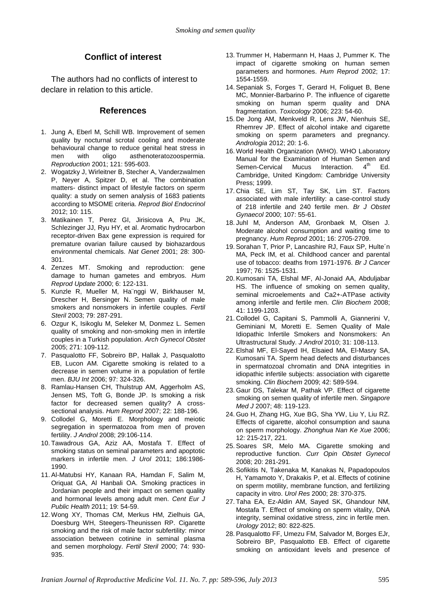#### **Conflict of interest**

The authors had no conflicts of interest to declare in relation to this article.

#### **References**

- 1. Jung A, Eberl M, Schill WB. Improvement of semen quality by nocturnal scrotal cooling and moderate behavioural change to reduce genital heat stress in men with oligo asthenoteratozoospermia. *Reproduction* 2001; 121: 595-603.
- 2. [Wogatzky J,](http://www.ncbi.nlm.nih.gov/pubmed?term=Wogatzky%20J%5BAuthor%5D&cauthor=true&cauthor_uid=23265183) [Wirleitner B,](http://www.ncbi.nlm.nih.gov/pubmed?term=Wirleitner%20B%5BAuthor%5D&cauthor=true&cauthor_uid=23265183) [Stecher A,](http://www.ncbi.nlm.nih.gov/pubmed?term=Stecher%20A%5BAuthor%5D&cauthor=true&cauthor_uid=23265183) [Vanderzwalmen](http://www.ncbi.nlm.nih.gov/pubmed?term=Vanderzwalmen%20P%5BAuthor%5D&cauthor=true&cauthor_uid=23265183)  [P,](http://www.ncbi.nlm.nih.gov/pubmed?term=Vanderzwalmen%20P%5BAuthor%5D&cauthor=true&cauthor_uid=23265183) [Neyer A,](http://www.ncbi.nlm.nih.gov/pubmed?term=Neyer%20A%5BAuthor%5D&cauthor=true&cauthor_uid=23265183) [Spitzer D,](http://www.ncbi.nlm.nih.gov/pubmed?term=Spitzer%20D%5BAuthor%5D&cauthor=true&cauthor_uid=23265183) et al. The combination matters- distinct impact of lifestyle factors on sperm quality: a study on semen analysis of 1683 patients according to MSOME criteria. *[Reprod Biol Endocrinol](http://www.ncbi.nlm.nih.gov/pubmed/23265183)* 2012; 10: 115.
- 3. Matikainen T, Perez GI, Jirisicova A, Pru JK, Schlezinger JJ, Ryu HY, et al. Aromatic hydrocarbon receptor-driven Bax gene expression is required for premature ovarian failure caused by biohazardous environmental chemicals. *Nat Genet* 2001; 28: 300- 301.
- 4. Zenzes MT. Smoking and reproduction: gene damage to human gametes and embryos. *Hum Reprod Update* 2000; 6: 122-131.
- 5. Kunzle R, Mueller M, Ha¨nggi W, Birkhauser M, Drescher H, Bersinger N. Semen quality of male smokers and nonsmokers in infertile couples. *Fertil Steril* 2003; 79: 287-291.
- 6. Ozgur K, Isikoglu M, Seleker M, Donmez L. Semen quality of smoking and non-smoking men in infertile couples in a Turkish population. *Arch Gynecol Obstet*  2005; 271: 109-112.
- 7. Pasqualotto FF, Sobreiro BP, Hallak J, Pasqualotto EB, Lucon AM. Cigarette smoking is related to a decrease in semen volume in a population of fertile men. *BJU Int* 2006; 97: 324-326.
- 8. Ramlau-Hansen CH, Thulstrup AM, Aggerholm AS, Jensen MS, Toft G, Bonde JP. Is smoking a risk factor for decreased semen quality? A crosssectional analysis. *Hum Reprod* 2007; 22: 188-196.
- 9. Collodel G, Moretti E. Morphology and meiotic segregation in spermatozoa from men of proven fertility. *J Androl* 2008; 29:106-114.
- 10. [Tawadrous GA,](http://www.ncbi.nlm.nih.gov/pubmed?term=Tawadrous%20GA%5BAuthor%5D&cauthor=true&cauthor_uid=21944139) [Aziz AA,](http://www.ncbi.nlm.nih.gov/pubmed?term=Aziz%20AA%5BAuthor%5D&cauthor=true&cauthor_uid=21944139) [Mostafa T.](http://www.ncbi.nlm.nih.gov/pubmed?term=Mostafa%20T%5BAuthor%5D&cauthor=true&cauthor_uid=21944139) Effect of smoking status on seminal parameters and apoptotic markers in infertile men. *[J Urol](http://www.ncbi.nlm.nih.gov/pubmed/21944139)* 2011; 186:1986- 1990.
- 11. [Al-Matubsi HY,](http://www.ncbi.nlm.nih.gov/pubmed?term=Al-Matubsi%20HY%5BAuthor%5D&cauthor=true&cauthor_uid=21526658) [Kanaan RA,](http://www.ncbi.nlm.nih.gov/pubmed?term=Kanaan%20RA%5BAuthor%5D&cauthor=true&cauthor_uid=21526658) [Hamdan F,](http://www.ncbi.nlm.nih.gov/pubmed?term=Hamdan%20F%5BAuthor%5D&cauthor=true&cauthor_uid=21526658) [Salim M,](http://www.ncbi.nlm.nih.gov/pubmed?term=Salim%20M%5BAuthor%5D&cauthor=true&cauthor_uid=21526658) [Oriquat GA,](http://www.ncbi.nlm.nih.gov/pubmed?term=Oriquat%20GA%5BAuthor%5D&cauthor=true&cauthor_uid=21526658) [Al Hanbali OA.](http://www.ncbi.nlm.nih.gov/pubmed?term=Al%20Hanbali%20OA%5BAuthor%5D&cauthor=true&cauthor_uid=21526658) Smoking practices in Jordanian people and their impact on semen quality and hormonal levels among adult men. *[Cent Eur J](http://www.ncbi.nlm.nih.gov/pubmed/21526658)  [Public Health](http://www.ncbi.nlm.nih.gov/pubmed/21526658)* 2011; 19: 54-59.
- 12. Wong XY, Thomas CM, Merkus HM, Zielhuis GA, Doesburg WH, Steegers-Theunissen RP. Cigarette smoking and the risk of male factor subfertility: minor association between cotinine in seminal plasma and semen morphology. *Fertil Steril* 2000; 74: 930- 935.
- 13. Trummer H, Habermann H, Haas J, Pummer K. The impact of cigarette smoking on human semen parameters and hormones. *Hum Reprod* 2002; 17: 1554-1559.
- 14. Sepaniak S, Forges T, Gerard H, Foliguet B, Bene MC, Monnier-Barbarino P. The influence of cigarette smoking on human sperm quality and DNA fragmentation. *Toxicology* 2006; 223: 54-60.
- 15. [De Jong AM,](http://www.ncbi.nlm.nih.gov/pubmed?term=de%20Jong%20AM%5BAuthor%5D&cauthor=true&cauthor_uid=23230969) [Menkveld R,](http://www.ncbi.nlm.nih.gov/pubmed?term=Menkveld%20R%5BAuthor%5D&cauthor=true&cauthor_uid=23230969) [Lens JW,](http://www.ncbi.nlm.nih.gov/pubmed?term=Lens%20JW%5BAuthor%5D&cauthor=true&cauthor_uid=23230969) [Nienhuis SE,](http://www.ncbi.nlm.nih.gov/pubmed?term=Nienhuis%20SE%5BAuthor%5D&cauthor=true&cauthor_uid=23230969) [Rhemrev JP.](http://www.ncbi.nlm.nih.gov/pubmed?term=Rhemrev%20JP%5BAuthor%5D&cauthor=true&cauthor_uid=23230969) Effect of alcohol intake and cigarette smoking on sperm parameters and pregnancy. *[Andrologia](http://www.ncbi.nlm.nih.gov/pubmed/23230969)* 2012; 20: 1-6.
- 16. World Health Organization (WHO). WHO Laboratory Manual for the Examination of Human Semen and Semen-Cervical Mucus Interaction.  $4<sup>th</sup>$  Ed. Cambridge, United Kingdom: Cambridge University Press; 1999.
- 17. Chia SE, Lim ST, Tay SK, Lim ST. Factors associated with male infertility: a case-control study of 218 infertile and 240 fertile men. *Br J Obstet Gynaecol* 2000; 107: 55-61.
- 18. Juhl M, Anderson AM, Gronbaek M, Olsen J. Moderate alcohol consumption and waiting time to pregnancy. *Hum Reprod* 2001; 16: 2705-2709.
- 19. Sorahan T, Prior P, Lancashire RJ, Faux SP, Hulte´n MA, Peck IM, et al. Childhood cancer and parental use of tobacco: deaths from 1971-1976. *Br J Cancer* 1997; 76: 1525-1531.
- 20. Kumosani TA, Elshal MF, Al-Jonaid AA, Abduljabar HS. The influence of smoking on semen quality, seminal microelements and Ca2+-ATPase activity among infertile and fertile men. *Clin Biochem* 2008; 41: 1199-1203.
- 21. Collodel G, Capitani S, Pammolli A, Giannerini V, Geminiani M, Moretti E. Semen Quality of Male Idiopathic Infertile Smokers and Nonsmokers: An Ultrastructural Study. *J Androl* 2010; 31: 108-113.
- 22. Elshal MF, El-Sayed IH, Elsaied MA, El-Masry SA, Kumosani TA. Sperm head defects and disturbances in spermatozoal chromatin and DNA integrities in idiopathic infertile subjects: association with cigarette smoking. *Clin Biochem* 2009; 42: 589-594.
- 23. Gaur DS, Talekar M, Pathak VP. Effect of cigarette smoking on semen quality of infertile men. *Singapore Med J* 2007; 48: 119-123.
- 24. Guo H, Zhang HG, Xue BG, Sha YW, Liu Y, Liu RZ. Effects of cigarette, alcohol consumption and sauna on sperm morphology. *Zhonghua Nan Ke Xue* 2006; 12: 215-217, 221.
- 25. Soares SR, Melo MA. Cigarette smoking and reproductive function. *Curr Opin Obstet Gynecol* 2008; 20: 281-291.
- 26. Sofikitis N, Takenaka M, Kanakas N, Papadopoulos H, Yamamoto Y, Drakakis P, et al. Effects of cotinine on sperm motility, membrane function, and fertilizing capacity in vitro. *Urol Res* 2000; 28: 370-375.
- 27. [Taha EA,](http://www.ncbi.nlm.nih.gov/pubmed?term=Taha%20EA%5BAuthor%5D&cauthor=true&cauthor_uid=23021663) [Ez-Aldin AM,](http://www.ncbi.nlm.nih.gov/pubmed?term=Ez-Aldin%20AM%5BAuthor%5D&cauthor=true&cauthor_uid=23021663) [Sayed SK,](http://www.ncbi.nlm.nih.gov/pubmed?term=Sayed%20SK%5BAuthor%5D&cauthor=true&cauthor_uid=23021663) [Ghandour NM,](http://www.ncbi.nlm.nih.gov/pubmed?term=Ghandour%20NM%5BAuthor%5D&cauthor=true&cauthor_uid=23021663) [Mostafa T.](http://www.ncbi.nlm.nih.gov/pubmed?term=Mostafa%20T%5BAuthor%5D&cauthor=true&cauthor_uid=23021663) Effect of smoking on sperm vitality, DNA integrity, seminal oxidative stress, zinc in fertile men. *[Urology](http://www.ncbi.nlm.nih.gov/pubmed/23021663)* 2012; 80: 822-825.
- 28. Pasqualotto FF, Umezu FM, Salvador M, Borges EJr, Sobreiro BP, Pasqualotto EB. Effect of cigarette smoking on antioxidant levels and presence of